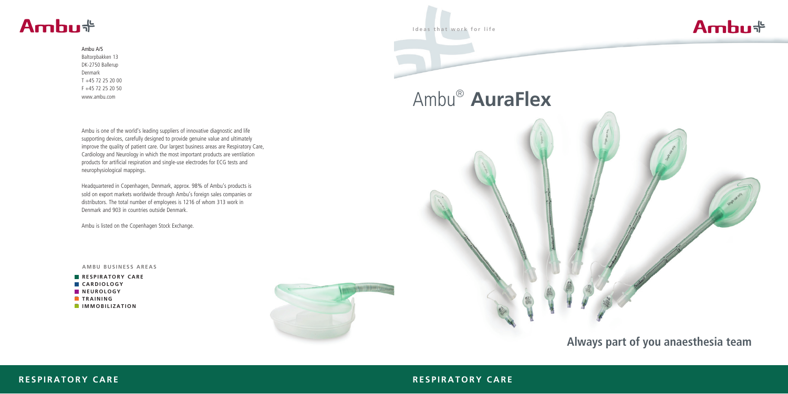#### **RESPIRATORY CARE**



**Ideas that work for life**

Ambu® **AuraFlex**



# **Always part of you anaesthesia team**

#### **RESPIRATORY CARE**

# Ambu<sup>+</sup>

#### Ambu A/S

Baltorpbakken 13 DK-2750 Ballerup Denmark T +45 72 25 20 00 F +45 72 25 20 50 www.ambu.com

Ambu is one of the world's leading suppliers of innovative diagnostic and life supporting devices, carefully designed to provide genuine value and ultimately improve the quality of patient care. Our largest business areas are Respiratory Care, Cardiology and Neurology in which the most important products are ventilation products for artificial respiration and single-use electrodes for ECG tests and neurophysiological mappings.

Headquartered in Copenhagen, Denmark, approx. 98% of Ambu's products is sold on export markets worldwide through Ambu's foreign sales companies or distributors. The total number of employees is 1216 of whom 313 work in Denmark and 903 in countries outside Denmark.

Ambu is listed on the Copenhagen Stock Exchange.

#### **AMBU BUSINESS AREAS**

**RESPIRATORY CARE CARDIOLOGY**  $N$  **NEUROLOGY TRAINING IMMOBILIZATION**